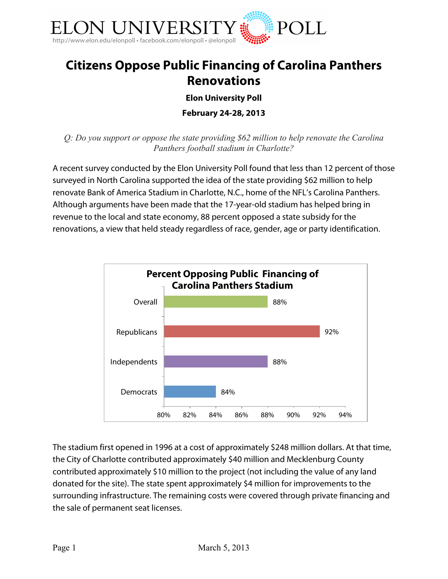

## **Citizens Oppose Public Financing of Carolina Panthers Renovations**

**Elon University Poll**

**February 24-28, 2013**

*Q: Do you support or oppose the state providing \$62 million to help renovate the Carolina Panthers football stadium in Charlotte?*

A recent survey conducted by the Elon University Poll found that less than 12 percent of those surveyed in North Carolina supported the idea of the state providing \$62 million to help renovate Bank of America Stadium in Charlotte, N.C., home of the NFL's Carolina Panthers. Although arguments have been made that the 17-year-old stadium has helped bring in revenue to the local and state economy, 88 percent opposed a state subsidy for the renovations, a view that held steady regardless of race, gender, age or party identification.



The stadium first opened in 1996 at a cost of approximately \$248 million dollars. At that time, the City of Charlotte contributed approximately \$40 million and Mecklenburg County contributed approximately \$10 million to the project (not including the value of any land donated for the site). The state spent approximately \$4 million for improvements to the surrounding infrastructure. The remaining costs were covered through private financing and the sale of permanent seat licenses.